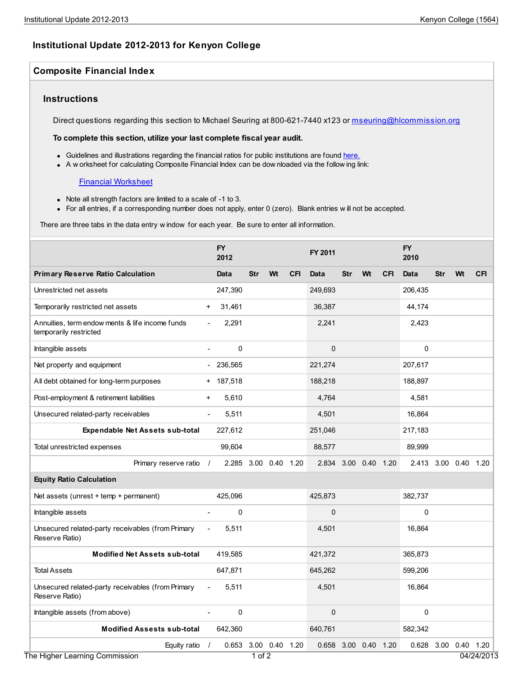# **Institutional Update 2012-2013 for Kenyon College**

## **Composite Financial Index**

## **Instructions**

Direct questions regarding this section to Michael Seuring at 800-621-7440 x123 or [mseuring@hlcommission.org](mailto:mseuring@hlcommission.org)

#### **To complete this section, utilize your last complete fiscal year audit.**

- Guidelines and illustrations regarding the financial ratios for public institutions are found [here.](http://ecfr.gpoaccess.gov/cgi/t/text/text-idx?c=ecfr&sid=bb0c1f2d36ad83be9ac06e5a46eebb10&rgn=div8&view=text&node=34:3.1.3.1.34.12.39.2&idno=34)
- A w orksheet for calculating Composite Financial Index can be dow nloaded via the follow ing link:

#### Financial [Worksheet](https://content.springcm.com/content/DownloadDocuments.ashx?aid=5968&Selection=Document%2C46c07ea4-b47a-e211-ad6c-0025b3af184e%3B)

- Note all strength factors are limited to a scale of -1 to 3.
- For all entries, if a corresponding number does not apply, enter 0 (zero). Blank entries w ill not be accepted.

There are three tabs in the data entry w indow for each year. Be sure to enter all information.

|                                                                           |                | <b>FY</b><br>2012    |            |                |            | FY 2011              |            |                |            | <b>FY</b><br>2010    |            |                |            |
|---------------------------------------------------------------------------|----------------|----------------------|------------|----------------|------------|----------------------|------------|----------------|------------|----------------------|------------|----------------|------------|
| <b>Primary Reserve Ratio Calculation</b>                                  |                | Data                 | <b>Str</b> | Wt             | <b>CFI</b> | Data                 | <b>Str</b> | Wt             | <b>CFI</b> | Data                 | <b>Str</b> | Wt             | <b>CFI</b> |
| Unrestricted net assets                                                   |                | 247,390              |            |                |            | 249,693              |            |                |            | 206,435              |            |                |            |
| Temporarily restricted net assets                                         | $+$            | 31,461               |            |                |            | 36,387               |            |                |            | 44,174               |            |                |            |
| Annuities, term endow ments & life income funds<br>temporarily restricted |                | 2,291                |            |                |            | 2,241                |            |                |            | 2,423                |            |                |            |
| Intangible assets                                                         | $\blacksquare$ | $\mathbf 0$          |            |                |            | $\mathbf{0}$         |            |                |            | $\mathbf 0$          |            |                |            |
| Net property and equipment                                                |                | $-236,565$           |            |                |            | 221,274              |            |                |            | 207,617              |            |                |            |
| All debt obtained for long-term purposes                                  |                | + 187,518            |            |                |            | 188,218              |            |                |            | 188,897              |            |                |            |
| Post-employment & retirement liabilities                                  | $\ddot{}$      | 5,610                |            |                |            | 4,764                |            |                |            | 4,581                |            |                |            |
| Unsecured related-party receivables                                       | $\blacksquare$ | 5,511                |            |                |            | 4.501                |            |                |            | 16.864               |            |                |            |
| <b>Expendable Net Assets sub-total</b>                                    |                | 227,612              |            |                |            | 251,046              |            |                |            | 217,183              |            |                |            |
| Total unrestricted expenses                                               |                | 99,604               |            |                |            | 88,577               |            |                |            | 89,999               |            |                |            |
| Primary reserve ratio /                                                   |                | 2.285 3.00 0.40 1.20 |            |                |            | 2.834 3.00 0.40 1.20 |            |                |            | 2.413 3.00 0.40 1.20 |            |                |            |
| <b>Equity Ratio Calculation</b>                                           |                |                      |            |                |            |                      |            |                |            |                      |            |                |            |
| Net assets (unrest + temp + permanent)                                    |                | 425,096              |            |                |            | 425,873              |            |                |            | 382,737              |            |                |            |
| Intangible assets                                                         | $\blacksquare$ | 0                    |            |                |            | $\mathbf{0}$         |            |                |            | $\mathbf 0$          |            |                |            |
| Unsecured related-party receivables (from Primary<br>Reserve Ratio)       | $\frac{1}{2}$  | 5,511                |            |                |            | 4,501                |            |                |            | 16,864               |            |                |            |
| <b>Modified Net Assets sub-total</b>                                      |                | 419,585              |            |                |            | 421,372              |            |                |            | 365,873              |            |                |            |
| <b>Total Assets</b>                                                       |                | 647,871              |            |                |            | 645,262              |            |                |            | 599,206              |            |                |            |
| Unsecured related-party receivables (from Primary<br>Reserve Ratio)       |                | 5,511                |            |                |            | 4,501                |            |                |            | 16,864               |            |                |            |
| Intangible assets (from above)                                            | $\blacksquare$ | 0                    |            |                |            | $\mathbf{0}$         |            |                |            | 0                    |            |                |            |
| <b>Modified Assests sub-total</b>                                         |                | 642,360              |            |                |            | 640,761              |            |                |            | 582,342              |            |                |            |
| Equity ratio<br>The Higher Learning Commission                            | $\prime$       | 0.653                | $1$ of $2$ | 3.00 0.40 1.20 |            | 0.658                |            | 3.00 0.40 1.20 |            | 0.628                |            | 3.00 0.40 1.20 | 04/24/2013 |